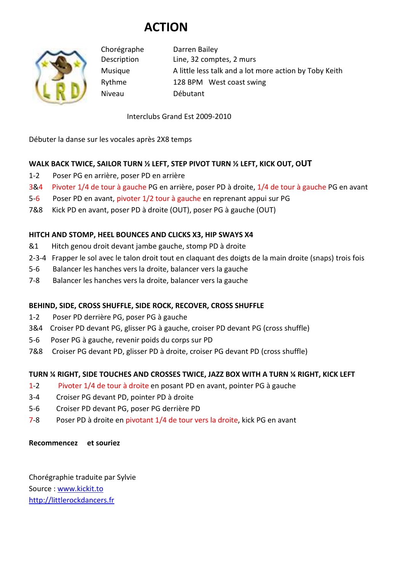# **ACTION**



Chorégraphe Darren Bailey Description Line, 32 comptes, 2 murs Musique A little less talk and a lot more action by Toby Keith Rythme 128 BPM West coast swing Niveau Débutant

Interclubs Grand Est 2009-2010

Débuter la danse sur les vocales après 2X8 temps

# **WALK BACK TWICE, SAILOR TURN ½ LEFT, STEP PIVOT TURN ½ LEFT, KICK OUT, OUT**

- 1-2 Poser PG en arrière, poser PD en arrière
- 3&4 Pivoter 1/4 de tour à gauche PG en arrière, poser PD à droite, 1/4 de tour à gauche PG en avant
- 5-6 Poser PD en avant, pivoter 1/2 tour à gauche en reprenant appui sur PG
- 7&8 Kick PD en avant, poser PD à droite (OUT), poser PG à gauche (OUT)

# **HITCH AND STOMP, HEEL BOUNCES AND CLICKS X3, HIP SWAYS X4**

- &1 Hitch genou droit devant jambe gauche, stomp PD à droite
- 2-3-4 Frapper le sol avec le talon droit tout en claquant des doigts de la main droite (snaps) trois fois
- 5-6 Balancer les hanches vers la droite, balancer vers la gauche
- 7-8 Balancer les hanches vers la droite, balancer vers la gauche

## **BEHIND, SIDE, CROSS SHUFFLE, SIDE ROCK, RECOVER, CROSS SHUFFLE**

- 1-2 Poser PD derrière PG, poser PG à gauche
- 3&4 Croiser PD devant PG, glisser PG à gauche, croiser PD devant PG (cross shuffle)
- 5-6 Poser PG à gauche, revenir poids du corps sur PD
- 7&8 Croiser PG devant PD, glisser PD à droite, croiser PG devant PD (cross shuffle)

## **TURN ¼ RIGHT, SIDE TOUCHES AND CROSSES TWICE, JAZZ BOX WITH A TURN ¼ RIGHT, KICK LEFT**

- 1-2 Pivoter 1/4 de tour à droite en posant PD en avant, pointer PG à gauche
- 3-4 Croiser PG devant PD, pointer PD à droite
- 5-6 Croiser PD devant PG, poser PG derrière PD
- 7-8 Poser PD à droite en pivotant 1/4 de tour vers la droite, kick PG en avant

#### **Recommencez et souriez**

Chorégraphie traduite par Sylvie Source : www.kickit.to http://littlerockdancers.fr